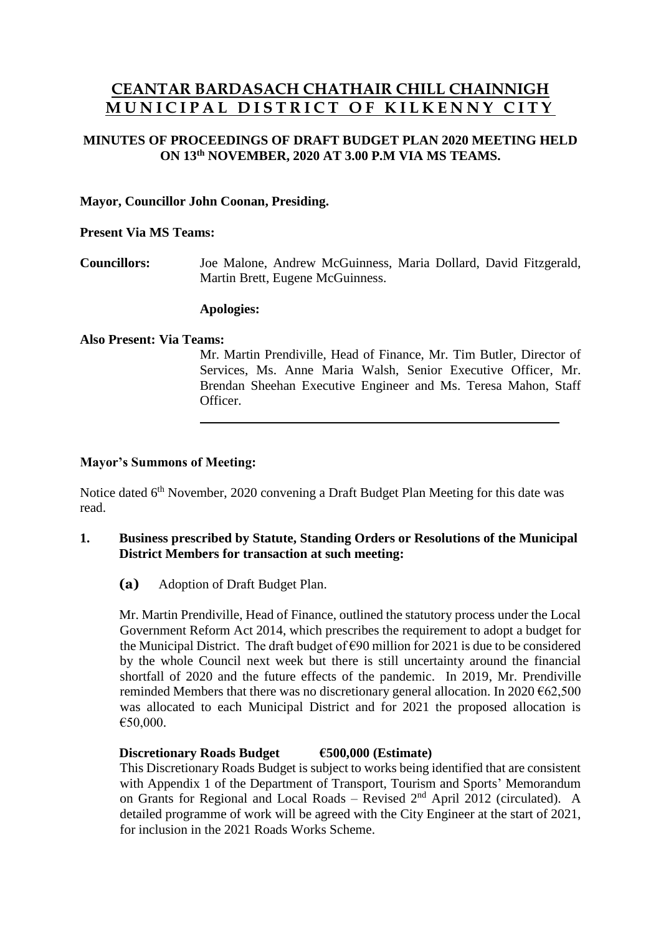# **CEANTAR BARDASACH CHATHAIR CHILL CHAINNIGH M U N I C I P A L D I S T R I C T O F K I L K E N N Y C I T Y**

# **MINUTES OF PROCEEDINGS OF DRAFT BUDGET PLAN 2020 MEETING HELD ON 13th NOVEMBER, 2020 AT 3.00 P.M VIA MS TEAMS.**

# **Mayor, Councillor John Coonan, Presiding.**

#### **Present Via MS Teams:**

**Councillors:** Joe Malone, Andrew McGuinness, Maria Dollard, David Fitzgerald, Martin Brett, Eugene McGuinness.

#### **Apologies:**

#### **Also Present: Via Teams:**

Mr. Martin Prendiville, Head of Finance, Mr. Tim Butler, Director of Services, Ms. Anne Maria Walsh, Senior Executive Officer, Mr. Brendan Sheehan Executive Engineer and Ms. Teresa Mahon, Staff Officer.

# **Mayor's Summons of Meeting:**

Notice dated 6<sup>th</sup> November, 2020 convening a Draft Budget Plan Meeting for this date was read.

# **1. Business prescribed by Statute, Standing Orders or Resolutions of the Municipal District Members for transaction at such meeting:**

**(a)** Adoption of Draft Budget Plan.

Mr. Martin Prendiville, Head of Finance, outlined the statutory process under the Local Government Reform Act 2014, which prescribes the requirement to adopt a budget for the Municipal District. The draft budget of €90 million for 2021 is due to be considered by the whole Council next week but there is still uncertainty around the financial shortfall of 2020 and the future effects of the pandemic. In 2019, Mr. Prendiville reminded Members that there was no discretionary general allocation. In 2020  $\epsilon$ 62,500 was allocated to each Municipal District and for 2021 the proposed allocation is €50,000.

# **Discretionary Roads Budget €500,000 (Estimate)**

This Discretionary Roads Budget is subject to works being identified that are consistent with Appendix 1 of the Department of Transport, Tourism and Sports' Memorandum on Grants for Regional and Local Roads – Revised  $2<sup>nd</sup>$  April 2012 (circulated). A detailed programme of work will be agreed with the City Engineer at the start of 2021, for inclusion in the 2021 Roads Works Scheme.